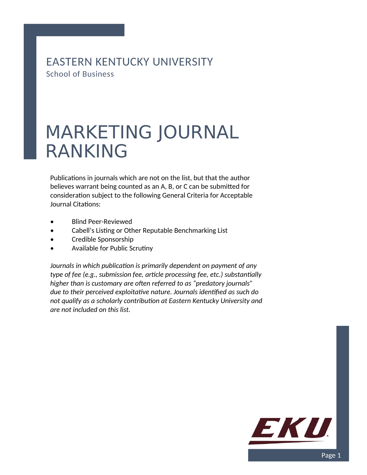EASTERN KENTUCKY UNIVERSITY School of Business

## MARKETING JOURNAL RANKING

Publications in journals which are not on the list, but that the author believes warrant being counted as an A, B, or C can be submitted for consideration subject to the following General Criteria for Acceptable Journal Citations:

- Blind Peer-Reviewed
- Cabell's Listing or Other Reputable Benchmarking List
- Credible Sponsorship
- Available for Public Scrutiny

*Journals in which publication is primarily dependent on payment of any type of fee (e.g., submission fee, article processing fee, etc.) substantially higher than is customary are often referred to as "predatory journals" due to their perceived exploitative nature. Journals identified as such do not qualify as a scholarly contribution at Eastern Kentucky University and are not included on this list.*

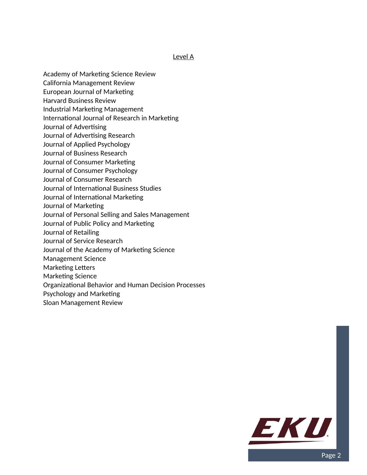## Level A

- Academy of Marketing Science Review
- California Management Review
- European Journal of Marketing
- Harvard Business Review
- Industrial Marketing Management
- International Journal of Research in Marketing
- Journal of Advertising
- Journal of Advertising Research
- Journal of Applied Psychology
- Journal of Business Research
- Journal of Consumer Marketing
- Journal of Consumer Psychology
- Journal of Consumer Research
- Journal of International Business Studies
- Journal of International Marketing
- Journal of Marketing
- Journal of Personal Selling and Sales Management
- Journal of Public Policy and Marketing
- Journal of Retailing
- Journal of Service Research
- Journal of the Academy of Marketing Science
- Management Science
- Marketing Letters
- Marketing Science
- Organizational Behavior and Human Decision Processes
- Psychology and Marketing
- Sloan Management Review

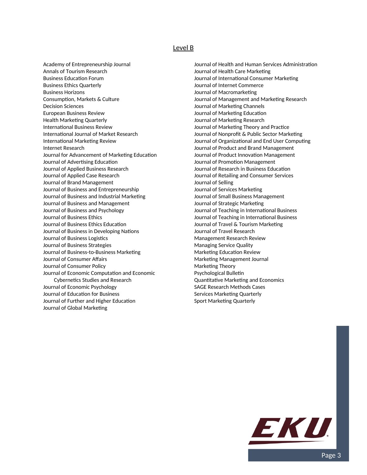## Level B

Academy of Entrepreneurship Journal Annals of Tourism Research Business Education Forum Business Ethics Quarterly Business Horizons Consumption, Markets & Culture Decision Sciences European Business Review Health Marketing Quarterly International Business Review International Journal of Market Research International Marketing Review Internet Research Journal for Advancement of Marketing Education Journal of Advertising Education Journal of Applied Business Research Journal of Applied Case Research Journal of Brand Management Journal of Business and Entrepreneurship Journal of Business and Industrial Marketing Journal of Business and Management Journal of Business and Psychology Journal of Business Ethics Journal of Business Ethics Education Journal of Business in Developing Nations Journal of Business Logistics Journal of Business Strategies Journal of Business-to-Business Marketing Journal of Consumer Affairs Journal of Consumer Policy Journal of Economic Computation and Economic Cybernetics Studies and Research Journal of Economic Psychology Journal of Education for Business Journal of Further and Higher Education Journal of Global Marketing

Journal of Health and Human Services Administration Journal of Health Care Marketing Journal of International Consumer Marketing Journal of Internet Commerce Journal of Macromarketing Journal of Management and Marketing Research Journal of Marketing Channels Journal of Marketing Education Journal of Marketing Research Journal of Marketing Theory and Practice Journal of Nonprofit & Public Sector Marketing Journal of Organizational and End User Computing Journal of Product and Brand Management Journal of Product Innovation Management Journal of Promotion Management Journal of Research in Business Education Journal of Retailing and Consumer Services Journal of Selling Journal of Services Marketing Journal of Small Business Management Journal of Strategic Marketing Journal of Teaching in International Business Journal of Teaching in International Business Journal of Travel & Tourism Marketing Journal of Travel Research Management Research Review Managing Service Quality Marketing Education Review Marketing Management Journal Marketing Theory Psychological Bulletin Quantitative Marketing and Economics SAGE Research Methods Cases Services Marketing Quarterly Sport Marketing Quarterly